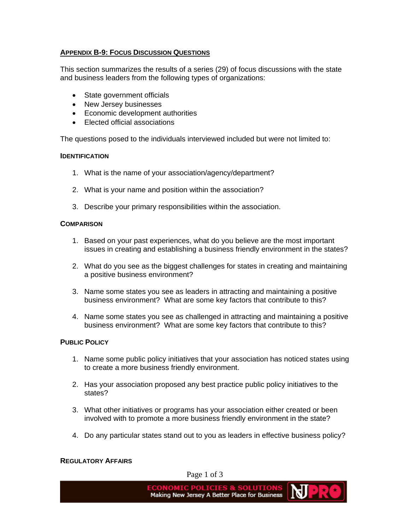# **APPENDIX B-9: FOCUS DISCUSSION QUESTIONS**

This section summarizes the results of a series (29) of focus discussions with the state and business leaders from the following types of organizations:

- State government officials
- New Jersey businesses
- Economic development authorities
- Elected official associations

The questions posed to the individuals interviewed included but were not limited to:

## **IDENTIFICATION**

- 1. What is the name of your association/agency/department?
- 2. What is your name and position within the association?
- 3. Describe your primary responsibilities within the association.

#### **COMPARISON**

- 1. Based on your past experiences, what do you believe are the most important issues in creating and establishing a business friendly environment in the states?
- 2. What do you see as the biggest challenges for states in creating and maintaining a positive business environment?
- 3. Name some states you see as leaders in attracting and maintaining a positive business environment? What are some key factors that contribute to this?
- 4. Name some states you see as challenged in attracting and maintaining a positive business environment? What are some key factors that contribute to this?

## **PUBLIC POLICY**

- 1. Name some public policy initiatives that your association has noticed states using to create a more business friendly environment.
- 2. Has your association proposed any best practice public policy initiatives to the states?
- 3. What other initiatives or programs has your association either created or been involved with to promote a more business friendly environment in the state?
- 4. Do any particular states stand out to you as leaders in effective business policy?

#### **REGULATORY AFFAIRS**

Page 1 of 3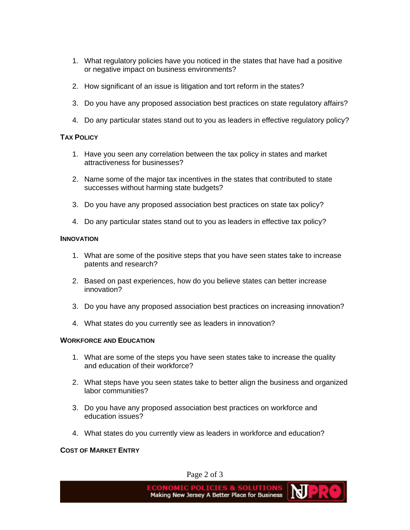- 1. What regulatory policies have you noticed in the states that have had a positive or negative impact on business environments?
- 2. How significant of an issue is litigation and tort reform in the states?
- 3. Do you have any proposed association best practices on state regulatory affairs?
- 4. Do any particular states stand out to you as leaders in effective regulatory policy?

#### **TAX POLICY**

- 1. Have you seen any correlation between the tax policy in states and market attractiveness for businesses?
- 2. Name some of the major tax incentives in the states that contributed to state successes without harming state budgets?
- 3. Do you have any proposed association best practices on state tax policy?
- 4. Do any particular states stand out to you as leaders in effective tax policy?

#### **INNOVATION**

- 1. What are some of the positive steps that you have seen states take to increase patents and research?
- 2. Based on past experiences, how do you believe states can better increase innovation?
- 3. Do you have any proposed association best practices on increasing innovation?
- 4. What states do you currently see as leaders in innovation?

#### **WORKFORCE AND EDUCATION**

- 1. What are some of the steps you have seen states take to increase the quality and education of their workforce?
- 2. What steps have you seen states take to better align the business and organized labor communities?
- 3. Do you have any proposed association best practices on workforce and education issues?
- 4. What states do you currently view as leaders in workforce and education?

#### **COST OF MARKET ENTRY**

Page 2 of 3